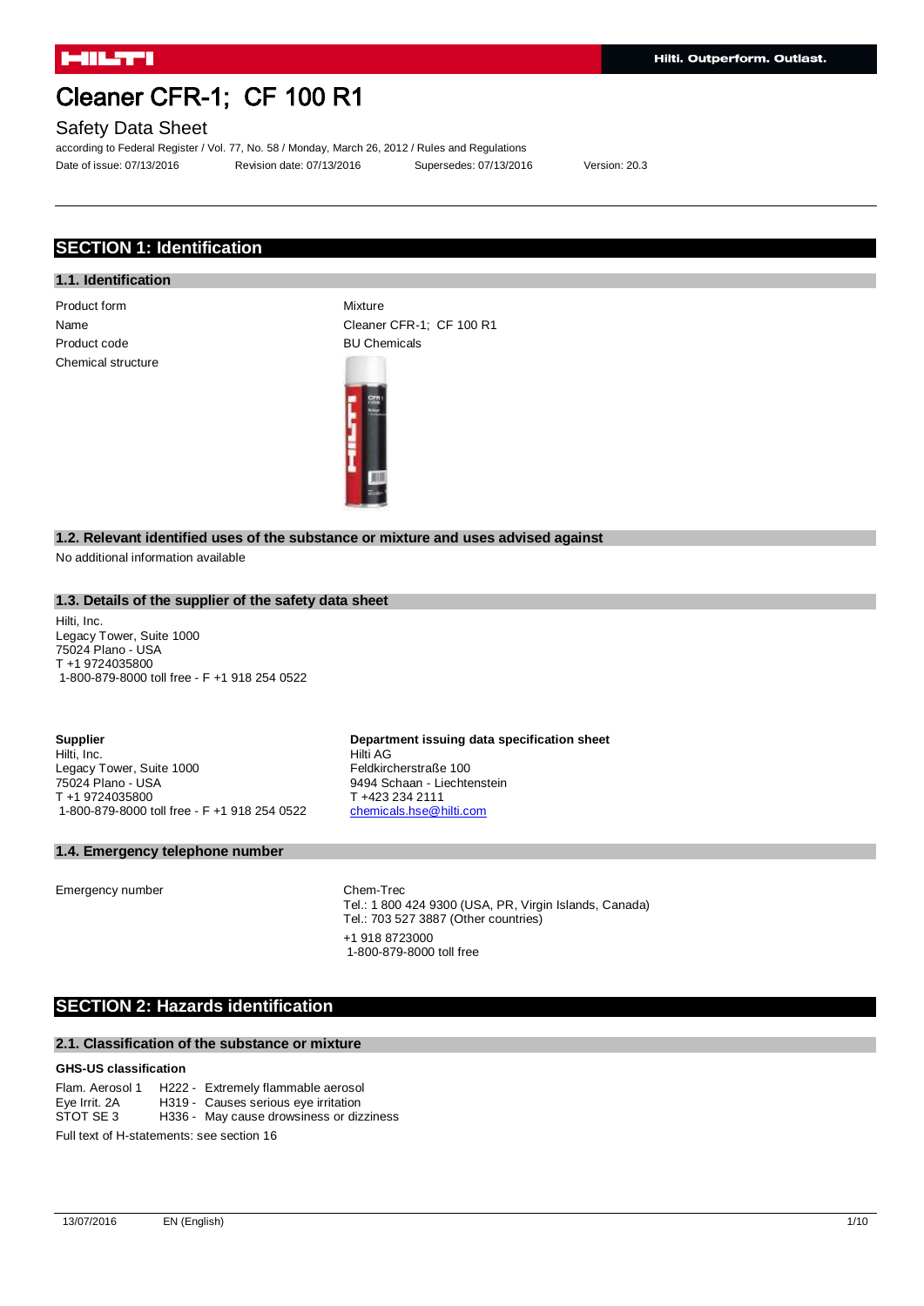## Safety Data Sheet

according to Federal Register / Vol. 77, No. 58 / Monday, March 26, 2012 / Rules and Regulations Date of issue: 07/13/2016 Revision date: 07/13/2016 Supersedes: 07/13/2016 Version: 20.3

## **SECTION 1: Identification**

## **1.1. Identification**

Product form Mixture Product code BU Chemicals Chemical structure

Name Cleaner CFR-1; CF 100 R1



Hilti AG

Feldkircherstraße 100 9494 Schaan - Liechtenstein

T +423 234 2111 [chemicals.hse@hilti.com](mailto:chemicals.hse@hilti.com)

#### **1.2. Relevant identified uses of the substance or mixture and uses advised against**

No additional information available

### **1.3. Details of the supplier of the safety data sheet**

Hilti, Inc. Legacy Tower, Suite 1000 75024 Plano - USA T +1 9724035800 1-800-879-8000 toll free - F +1 918 254 0522

**Supplier** Hilti, Inc. Legacy Tower, Suite 1000 75024 Plano - USA T +1 9724035800 1-800-879-8000 toll free - F +1 918 254 0522

#### **1.4. Emergency telephone number**

Emergency number Chem-Trec

Tel.: 1 800 424 9300 (USA, PR, Virgin Islands, Canada) Tel.: 703 527 3887 (Other countries) +1 918 8723000 1-800-879-8000 toll free

**Department issuing data specification sheet**

## **SECTION 2: Hazards identification**

#### **2.1. Classification of the substance or mixture**

#### **GHS-US classification**

Flam. Aerosol 1 H222 - Extremely flammable aerosol<br>Eve Irrit. 2A H319 - Causes serious eve irritation Eye Irrit. 2A H319 - Causes serious eye irritation<br>STOT SE 3 H336 - Mav cause drowsiness or diz H336 - May cause drowsiness or dizziness Full text of H-statements: see section 16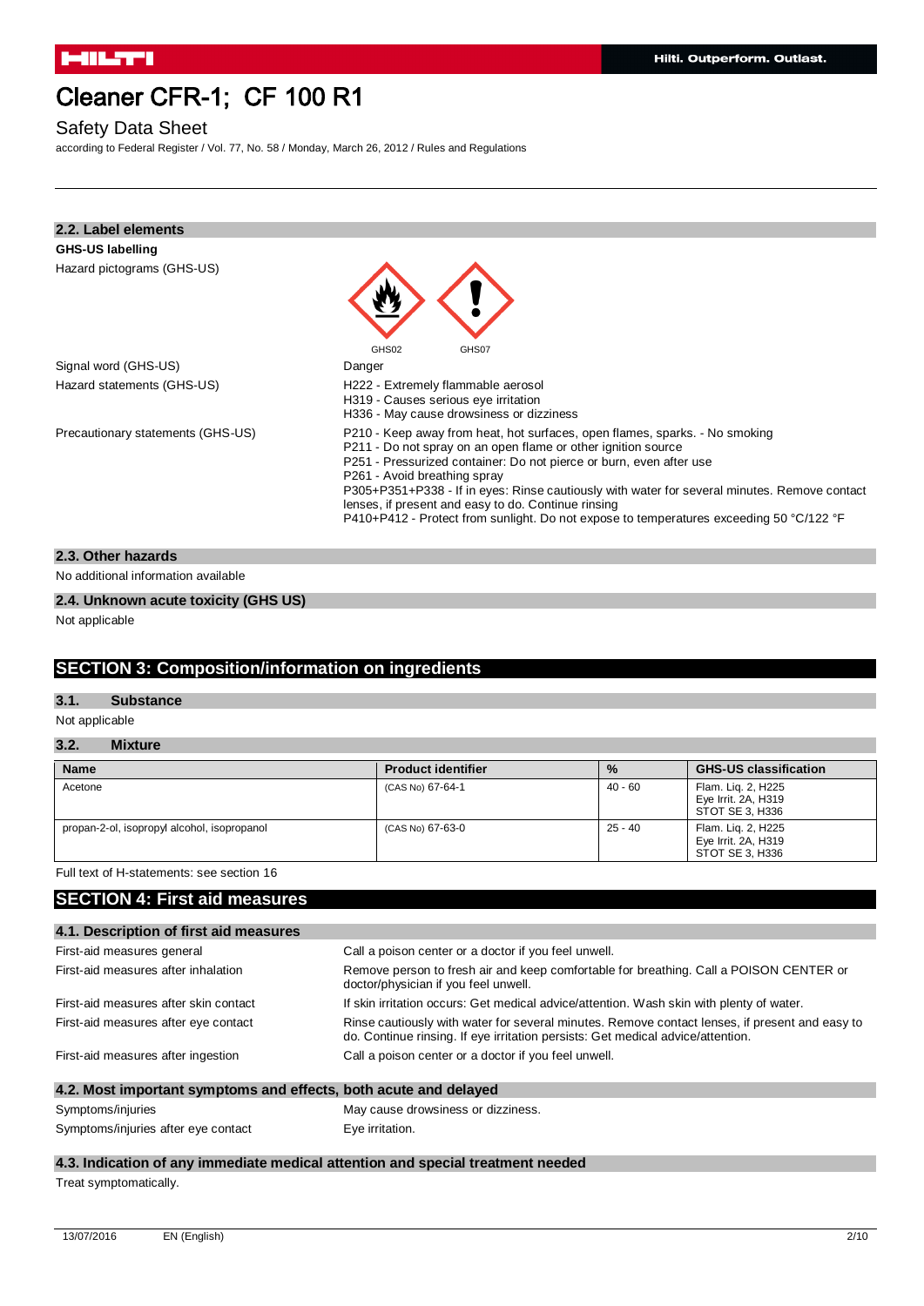## Safety Data Sheet

according to Federal Register / Vol. 77, No. 58 / Monday, March 26, 2012 / Rules and Regulations

| 2.2. Label elements               |                                                                                                                                                                                                                                                                                                                                                                                                                                                                                                       |
|-----------------------------------|-------------------------------------------------------------------------------------------------------------------------------------------------------------------------------------------------------------------------------------------------------------------------------------------------------------------------------------------------------------------------------------------------------------------------------------------------------------------------------------------------------|
| <b>GHS-US labelling</b>           |                                                                                                                                                                                                                                                                                                                                                                                                                                                                                                       |
| Hazard pictograms (GHS-US)        |                                                                                                                                                                                                                                                                                                                                                                                                                                                                                                       |
|                                   | GHS02<br>GHS07                                                                                                                                                                                                                                                                                                                                                                                                                                                                                        |
| Signal word (GHS-US)              | Danger                                                                                                                                                                                                                                                                                                                                                                                                                                                                                                |
| Hazard statements (GHS-US)        | H222 - Extremely flammable aerosol<br>H319 - Causes serious eye irritation<br>H336 - May cause drowsiness or dizziness                                                                                                                                                                                                                                                                                                                                                                                |
| Precautionary statements (GHS-US) | P210 - Keep away from heat, hot surfaces, open flames, sparks. - No smoking<br>P211 - Do not spray on an open flame or other ignition source<br>P251 - Pressurized container: Do not pierce or burn, even after use<br>P261 - Avoid breathing spray<br>P305+P351+P338 - If in eyes: Rinse cautiously with water for several minutes. Remove contact<br>lenses, if present and easy to do. Continue rinsing<br>P410+P412 - Protect from sunlight. Do not expose to temperatures exceeding 50 °C/122 °F |
|                                   |                                                                                                                                                                                                                                                                                                                                                                                                                                                                                                       |

#### **2.3. Other hazards**

No additional information available

### **2.4. Unknown acute toxicity (GHS US)**

Not applicable

## **SECTION 3: Composition/information on ingredients**

#### **3.1. Substance**

Not applicable

## **3.2. Mixture**

| <b>Name</b>                                 | <b>Product identifier</b> | $\frac{9}{6}$ | <b>GHS-US classification</b>                                 |
|---------------------------------------------|---------------------------|---------------|--------------------------------------------------------------|
| Acetone                                     | (CAS No) 67-64-1          | 40 - 60       | Flam. Lig. 2, H225<br>Eye Irrit. 2A, H319<br>STOT SE 3, H336 |
| propan-2-ol, isopropyl alcohol, isopropanol | (CAS No) 67-63-0          | 25 - 40       | Flam. Lig. 2, H225<br>Eye Irrit. 2A, H319<br>STOT SE 3. H336 |

## Full text of H-statements: see section 16

## **SECTION 4: First aid measures**

| 4.1. Description of first aid measures                           |                                                                                                                                                                                   |  |
|------------------------------------------------------------------|-----------------------------------------------------------------------------------------------------------------------------------------------------------------------------------|--|
| First-aid measures general                                       | Call a poison center or a doctor if you feel unwell.                                                                                                                              |  |
| First-aid measures after inhalation                              | Remove person to fresh air and keep comfortable for breathing. Call a POISON CENTER or<br>doctor/physician if you feel unwell.                                                    |  |
| First-aid measures after skin contact                            | If skin irritation occurs: Get medical advice/attention. Wash skin with plenty of water.                                                                                          |  |
| First-aid measures after eye contact                             | Rinse cautiously with water for several minutes. Remove contact lenses, if present and easy to<br>do. Continue rinsing. If eye irritation persists: Get medical advice/attention. |  |
| First-aid measures after ingestion                               | Call a poison center or a doctor if you feel unwell.                                                                                                                              |  |
| 4.2. Most important symptoms and effects, both acute and delayed |                                                                                                                                                                                   |  |

| Symptoms/injuries                   | May cause drowsiness or dizziness. |
|-------------------------------------|------------------------------------|
| Symptoms/injuries after eye contact | Eve irritation.                    |

## **4.3. Indication of any immediate medical attention and special treatment needed**

Treat symptomatically.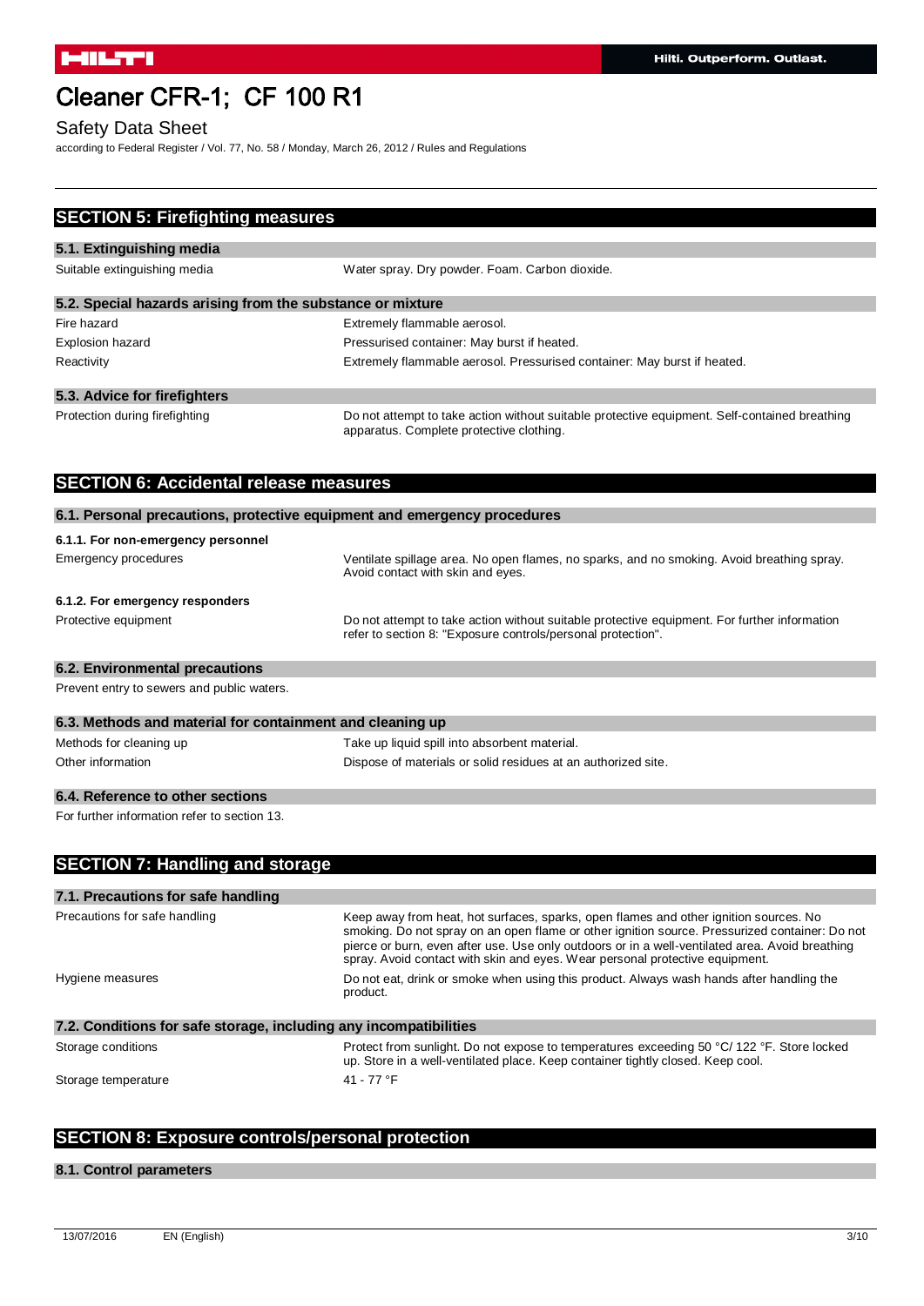## Safety Data Sheet

according to Federal Register / Vol. 77, No. 58 / Monday, March 26, 2012 / Rules and Regulations

| <b>SECTION 5: Firefighting measures</b>                                  |                                                                                                                                                                                                                                                                                                                                                                            |
|--------------------------------------------------------------------------|----------------------------------------------------------------------------------------------------------------------------------------------------------------------------------------------------------------------------------------------------------------------------------------------------------------------------------------------------------------------------|
| 5.1. Extinguishing media                                                 |                                                                                                                                                                                                                                                                                                                                                                            |
| Suitable extinguishing media                                             | Water spray. Dry powder. Foam. Carbon dioxide.                                                                                                                                                                                                                                                                                                                             |
| 5.2. Special hazards arising from the substance or mixture               |                                                                                                                                                                                                                                                                                                                                                                            |
| Fire hazard                                                              | Extremely flammable aerosol.                                                                                                                                                                                                                                                                                                                                               |
| <b>Explosion hazard</b>                                                  | Pressurised container: May burst if heated.                                                                                                                                                                                                                                                                                                                                |
| Reactivity                                                               | Extremely flammable aerosol. Pressurised container: May burst if heated.                                                                                                                                                                                                                                                                                                   |
| 5.3. Advice for firefighters                                             |                                                                                                                                                                                                                                                                                                                                                                            |
| Protection during firefighting                                           | Do not attempt to take action without suitable protective equipment. Self-contained breathing<br>apparatus. Complete protective clothing.                                                                                                                                                                                                                                  |
| <b>SECTION 6: Accidental release measures</b>                            |                                                                                                                                                                                                                                                                                                                                                                            |
| 6.1. Personal precautions, protective equipment and emergency procedures |                                                                                                                                                                                                                                                                                                                                                                            |
| 6.1.1. For non-emergency personnel                                       |                                                                                                                                                                                                                                                                                                                                                                            |
| <b>Emergency procedures</b>                                              | Ventilate spillage area. No open flames, no sparks, and no smoking. Avoid breathing spray.<br>Avoid contact with skin and eyes.                                                                                                                                                                                                                                            |
| 6.1.2. For emergency responders                                          |                                                                                                                                                                                                                                                                                                                                                                            |
| Protective equipment                                                     | Do not attempt to take action without suitable protective equipment. For further information<br>refer to section 8: "Exposure controls/personal protection".                                                                                                                                                                                                               |
| 6.2. Environmental precautions                                           |                                                                                                                                                                                                                                                                                                                                                                            |
| Prevent entry to sewers and public waters.                               |                                                                                                                                                                                                                                                                                                                                                                            |
| 6.3. Methods and material for containment and cleaning up                |                                                                                                                                                                                                                                                                                                                                                                            |
| Methods for cleaning up                                                  | Take up liquid spill into absorbent material.                                                                                                                                                                                                                                                                                                                              |
| Other information                                                        | Dispose of materials or solid residues at an authorized site.                                                                                                                                                                                                                                                                                                              |
| 6.4. Reference to other sections                                         |                                                                                                                                                                                                                                                                                                                                                                            |
| For further information refer to section 13.                             |                                                                                                                                                                                                                                                                                                                                                                            |
| <b>SECTION 7: Handling and storage</b>                                   |                                                                                                                                                                                                                                                                                                                                                                            |
| 7.1. Precautions for safe handling                                       |                                                                                                                                                                                                                                                                                                                                                                            |
| Precautions for safe handling                                            | Keep away from heat, hot surfaces, sparks, open flames and other ignition sources. No<br>smoking. Do not spray on an open flame or other ignition source. Pressurized container: Do not<br>pierce or burn, even after use. Use only outdoors or in a well-ventilated area. Avoid breathing<br>spray. Avoid contact with skin and eyes. Wear personal protective equipment. |
| Hygiene measures                                                         | Do not eat, drink or smoke when using this product. Always wash hands after handling the<br>product.                                                                                                                                                                                                                                                                       |
| 7.2. Conditions for safe storage, including any incompatibilities        |                                                                                                                                                                                                                                                                                                                                                                            |
| Storage conditions                                                       | Protect from sunlight. Do not expose to temperatures exceeding 50 °C/122 °F. Store locked<br>up. Store in a well-ventilated place. Keep container tightly closed. Keep cool.                                                                                                                                                                                               |
| Storage temperature                                                      | 41 - 77 °F                                                                                                                                                                                                                                                                                                                                                                 |

## **SECTION 8: Exposure controls/personal protection**

### **8.1. Control parameters**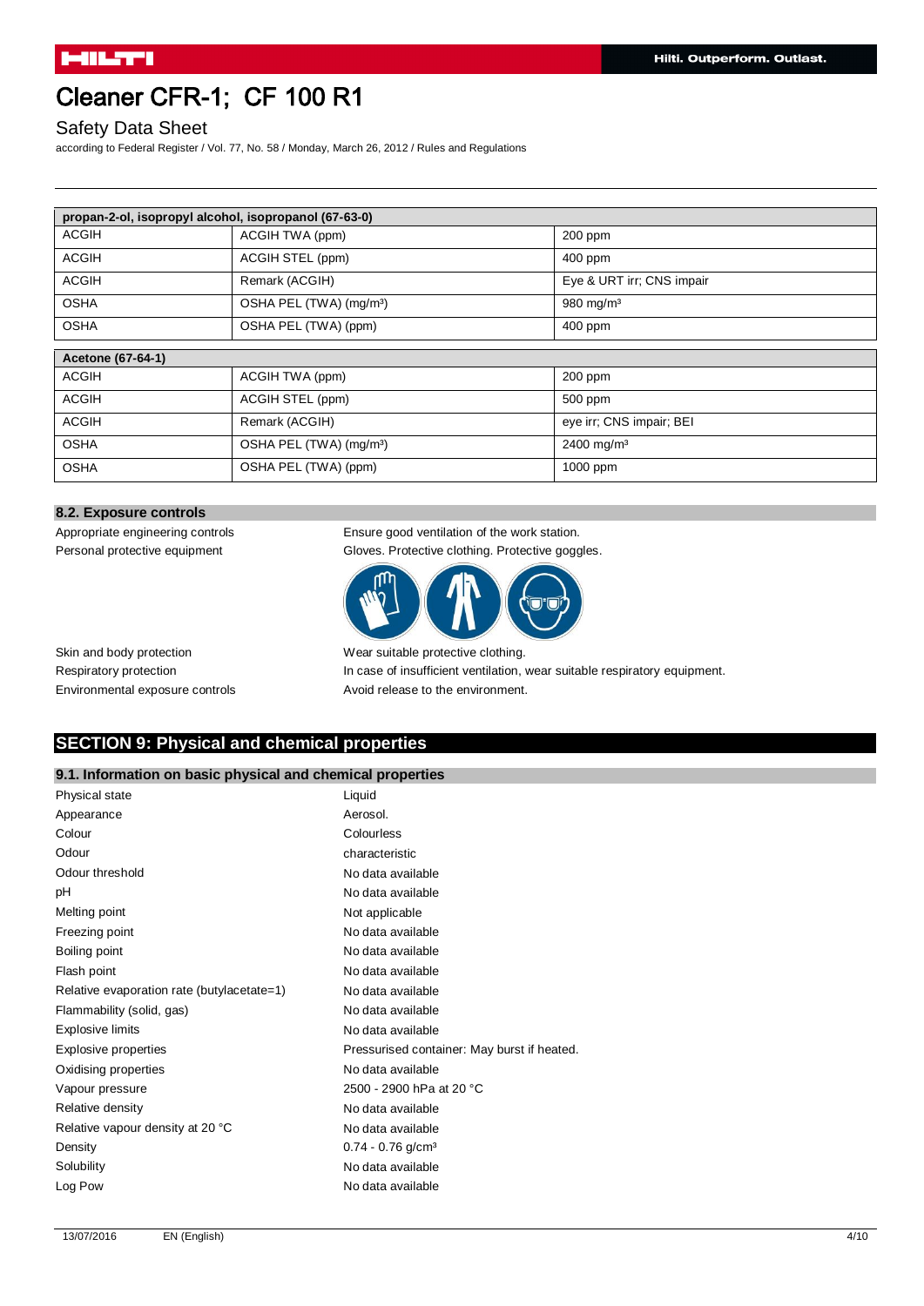## Safety Data Sheet

according to Federal Register / Vol. 77, No. 58 / Monday, March 26, 2012 / Rules and Regulations

| propan-2-ol, isopropyl alcohol, isopropanol (67-63-0) |                                     |                           |
|-------------------------------------------------------|-------------------------------------|---------------------------|
| <b>ACGIH</b>                                          | ACGIH TWA (ppm)                     | 200 ppm                   |
| <b>ACGIH</b>                                          | ACGIH STEL (ppm)                    | 400 ppm                   |
| <b>ACGIH</b>                                          | Remark (ACGIH)                      | Eye & URT irr; CNS impair |
| <b>OSHA</b>                                           | OSHA PEL (TWA) (mg/m <sup>3</sup> ) | 980 mg/m <sup>3</sup>     |
| <b>OSHA</b>                                           | OSHA PEL (TWA) (ppm)                | 400 ppm                   |
|                                                       |                                     |                           |
| Acetone (67-64-1)                                     |                                     |                           |
| <b>ACGIH</b>                                          | ACGIH TWA (ppm)                     | 200 ppm                   |
| <b>ACGIH</b>                                          | ACGIH STEL (ppm)                    | 500 ppm                   |
| <b>ACGIH</b>                                          | Remark (ACGIH)                      | eye irr; CNS impair; BEI  |
| <b>OSHA</b>                                           | OSHA PEL (TWA) (mg/m <sup>3</sup> ) | 2400 mg/m <sup>3</sup>    |
| <b>OSHA</b>                                           | OSHA PEL (TWA) (ppm)                | 1000 ppm                  |

#### **8.2. Exposure controls**

Personal protective equipment Gloves. Protective clothing. Protective goggles.

Appropriate engineering controls Ensure good ventilation of the work station.



Skin and body protection Wear suitable protective clothing. Respiratory protection **In case of insufficient ventilation**, wear suitable respiratory equipment. Environmental exposure controls Avoid release to the environment.

## **SECTION 9: Physical and chemical properties**

### **9.1. Information on basic physical and chemical properties**

| Physical state                             | Liquid                                      |
|--------------------------------------------|---------------------------------------------|
| Appearance                                 | Aerosol.                                    |
| Colour                                     | Colourless                                  |
| Odour                                      | characteristic                              |
| Odour threshold                            | No data available                           |
| рH                                         | No data available                           |
| Melting point                              | Not applicable                              |
| Freezing point                             | No data available                           |
| Boiling point                              | No data available                           |
| Flash point                                | No data available                           |
| Relative evaporation rate (butylacetate=1) | No data available                           |
| Flammability (solid, gas)                  | No data available                           |
| Explosive limits                           | No data available                           |
| Explosive properties                       | Pressurised container: May burst if heated. |
| Oxidising properties                       | No data available                           |
| Vapour pressure                            | 2500 - 2900 hPa at 20 °C                    |
| Relative density                           | No data available                           |
| Relative vapour density at 20 °C           | No data available                           |
| Density                                    | $0.74 - 0.76$ g/cm <sup>3</sup>             |
| Solubility                                 | No data available                           |
| Log Pow                                    | No data available                           |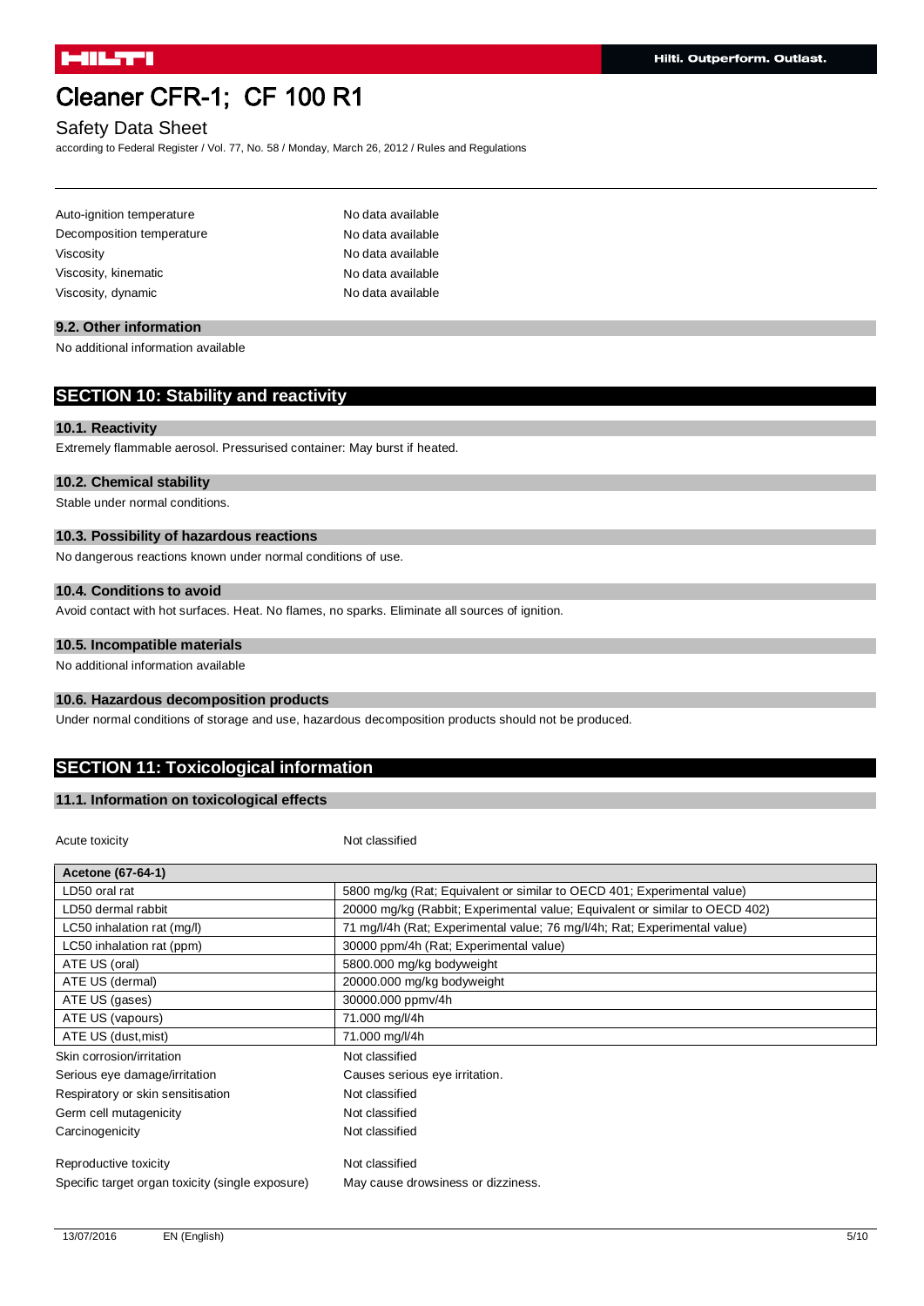## Safety Data Sheet

according to Federal Register / Vol. 77, No. 58 / Monday, March 26, 2012 / Rules and Regulations

| Auto-ignition temperature | No data available |
|---------------------------|-------------------|
| Decomposition temperature | No data available |
| Viscosity                 | No data available |
| Viscosity, kinematic      | No data available |
| Viscosity, dynamic        | No data available |

### **9.2. Other information**

No additional information available

## **SECTION 10: Stability and reactivity**

## **10.1. Reactivity**

Extremely flammable aerosol. Pressurised container: May burst if heated.

### **10.2. Chemical stability**

Stable under normal conditions.

#### **10.3. Possibility of hazardous reactions**

No dangerous reactions known under normal conditions of use.

#### **10.4. Conditions to avoid**

Avoid contact with hot surfaces. Heat. No flames, no sparks. Eliminate all sources of ignition.

#### **10.5. Incompatible materials**

No additional information available

#### **10.6. Hazardous decomposition products**

Under normal conditions of storage and use, hazardous decomposition products should not be produced.

## **SECTION 11: Toxicological information**

### **11.1. Information on toxicological effects**

Acute toxicity **Not classified** 

| Acetone (67-64-1)                                |                                                                             |
|--------------------------------------------------|-----------------------------------------------------------------------------|
| LD50 oral rat                                    | 5800 mg/kg (Rat; Equivalent or similar to OECD 401; Experimental value)     |
| LD50 dermal rabbit                               | 20000 mg/kg (Rabbit; Experimental value; Equivalent or similar to OECD 402) |
| LC50 inhalation rat (mg/l)                       | 71 mg/l/4h (Rat; Experimental value; 76 mg/l/4h; Rat; Experimental value)   |
| LC50 inhalation rat (ppm)                        | 30000 ppm/4h (Rat; Experimental value)                                      |
| ATE US (oral)                                    | 5800.000 mg/kg bodyweight                                                   |
| ATE US (dermal)                                  | 20000.000 mg/kg bodyweight                                                  |
| ATE US (gases)                                   | 30000.000 ppmv/4h                                                           |
| ATE US (vapours)                                 | 71.000 mg/l/4h                                                              |
| ATE US (dust, mist)                              | 71.000 mg/l/4h                                                              |
| Skin corrosion/irritation                        | Not classified                                                              |
| Serious eye damage/irritation                    | Causes serious eye irritation.                                              |
| Respiratory or skin sensitisation                | Not classified                                                              |
| Germ cell mutagenicity                           | Not classified                                                              |
| Carcinogenicity                                  | Not classified                                                              |
| Reproductive toxicity                            | Not classified                                                              |
| Specific target organ toxicity (single exposure) | May cause drowsiness or dizziness.                                          |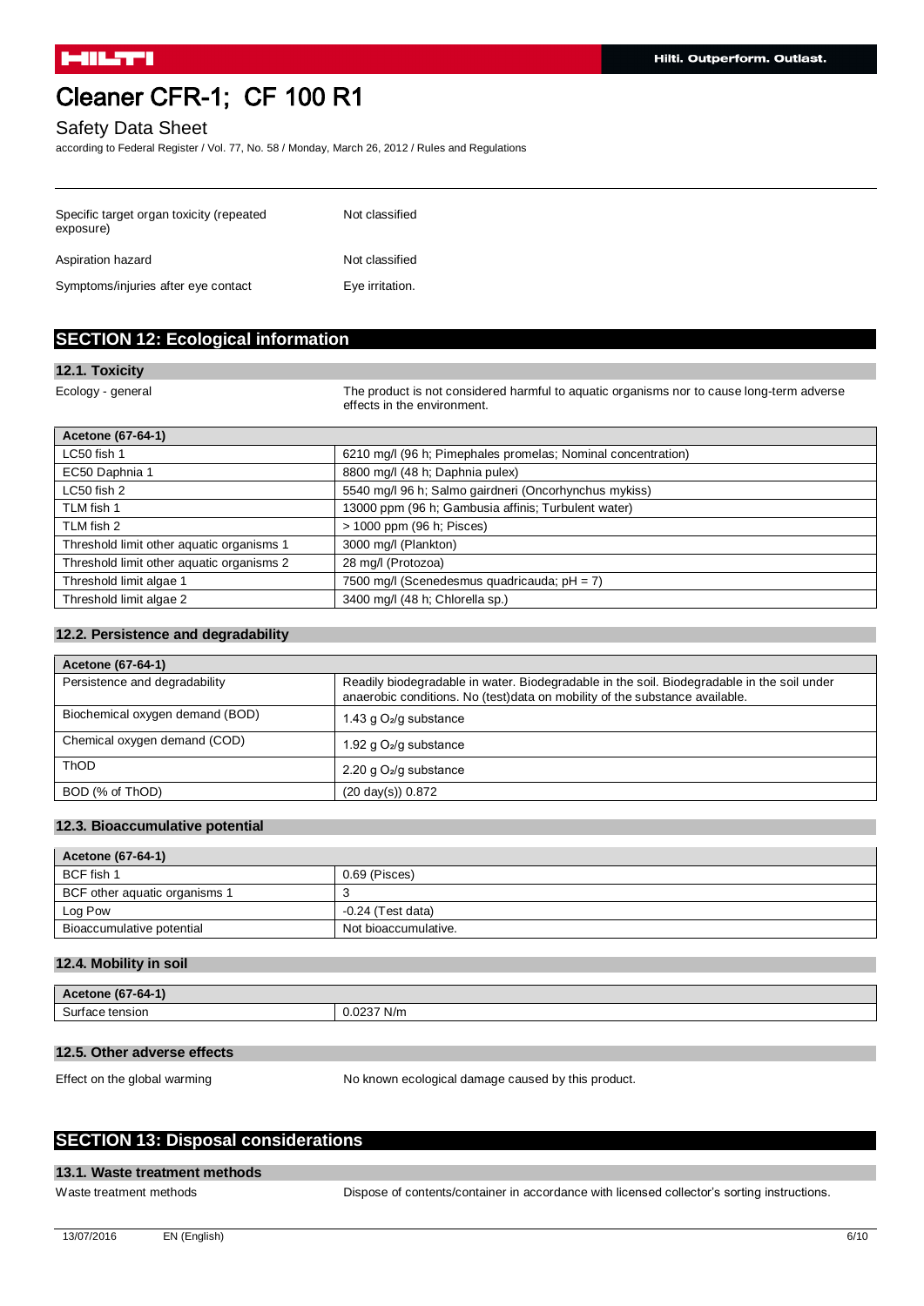### Safety Data Sheet

according to Federal Register / Vol. 77, No. 58 / Monday, March 26, 2012 / Rules and Regulations

| Specific target organ toxicity (repeated<br>exposure) | Not classified  |
|-------------------------------------------------------|-----------------|
| Aspiration hazard                                     | Not classified  |
| Symptoms/injuries after eye contact                   | Eye irritation. |

## **SECTION 12: Ecological information**

#### **12.1. Toxicity**

Ecology - general The product is not considered harmful to aquatic organisms nor to cause long-term adverse effects in the environment.

| 6210 mg/l (96 h; Pimephales promelas; Nominal concentration) |
|--------------------------------------------------------------|
| 8800 mg/l (48 h; Daphnia pulex)                              |
| 5540 mg/l 96 h; Salmo gairdneri (Oncorhynchus mykiss)        |
| 13000 ppm (96 h; Gambusia affinis; Turbulent water)          |
| > 1000 ppm (96 h; Pisces)                                    |
| 3000 mg/l (Plankton)                                         |
| 28 mg/l (Protozoa)                                           |
| 7500 mg/l (Scenedesmus quadricauda; $pH = 7$ )               |
| 3400 mg/l (48 h; Chlorella sp.)                              |
|                                                              |

### **12.2. Persistence and degradability**

| Acetone (67-64-1)               |                                                                                                                                                                            |
|---------------------------------|----------------------------------------------------------------------------------------------------------------------------------------------------------------------------|
| Persistence and degradability   | Readily biodegradable in water. Biodegradable in the soil. Biodegradable in the soil under<br>anaerobic conditions. No (test) data on mobility of the substance available. |
| Biochemical oxygen demand (BOD) | 1.43 g $O_2$ /g substance                                                                                                                                                  |
| Chemical oxygen demand (COD)    | 1.92 g $O_2$ /g substance                                                                                                                                                  |
| <b>ThOD</b>                     | 2.20 g $O2/g$ substance                                                                                                                                                    |
| BOD (% of ThOD)                 | $(20 \text{ day(s)})$ 0.872                                                                                                                                                |

#### **12.3. Bioaccumulative potential**

| Acetone (67-64-1)             |                      |
|-------------------------------|----------------------|
| BCF fish 1                    | 0.69 (Pisces)        |
| BCF other aquatic organisms 1 |                      |
| Log Pow                       | $-0.24$ (Test data)  |
| Bioaccumulative potential     | Not bioaccumulative. |

#### **12.4. Mobility in soil**

| A<br>æ<br>$-hA-$<br>tone to<br>rw<br>דש |                                                                    |
|-----------------------------------------|--------------------------------------------------------------------|
| $\sim$<br>e tension<br>่วนเ<br>auc      | $\sim$ $\sim$ $\sim$ $\sim$ $\sim$ $\sim$<br>N/m<br>$\mathbf{v}$ . |

### **12.5. Other adverse effects**

Effect on the global warming No known ecological damage caused by this product.

## **SECTION 13: Disposal considerations**

#### **13.1. Waste treatment methods**

Waste treatment methods **Dispose of contents/container in accordance with licensed collector's sorting instructions.**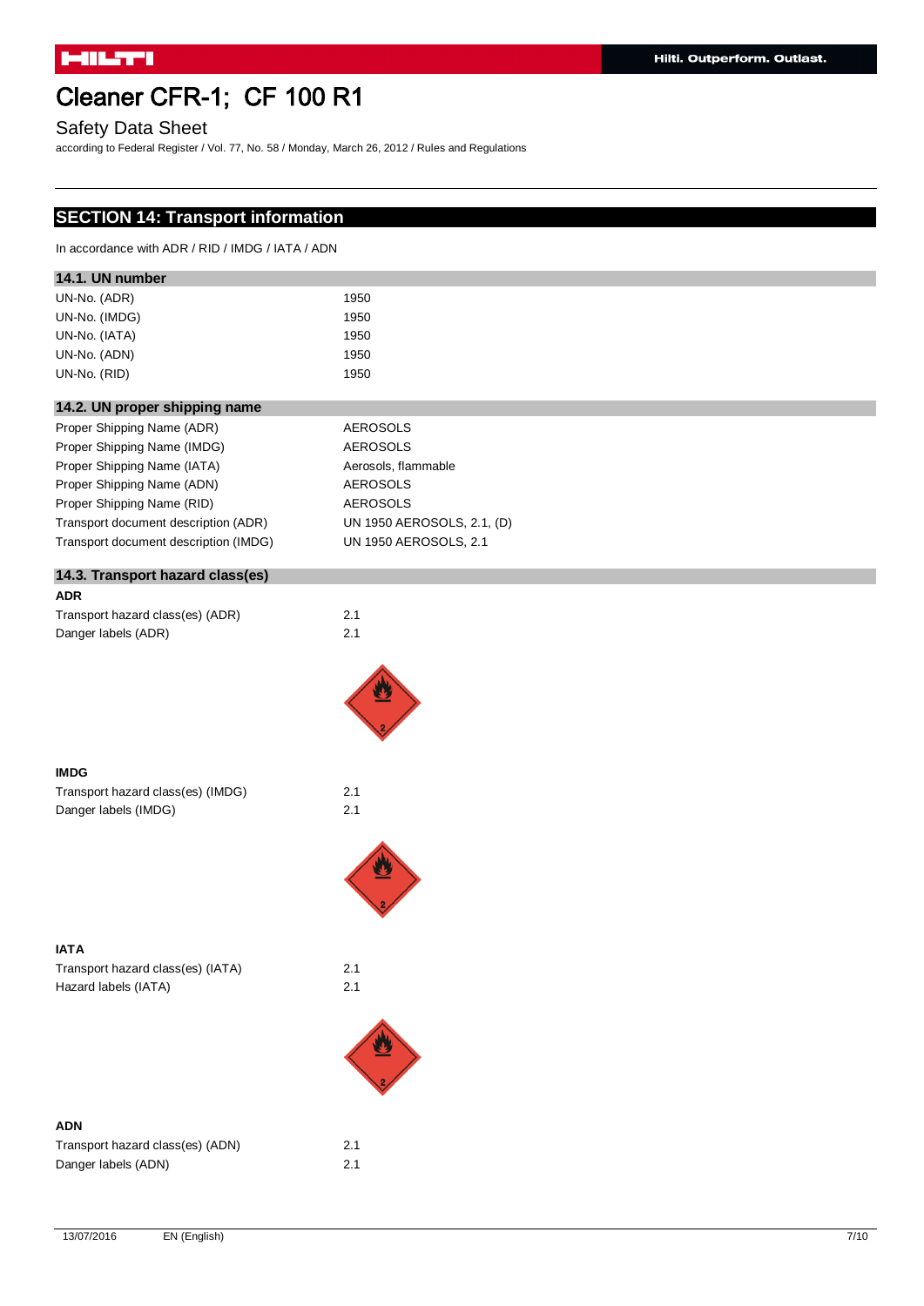Safety Data Sheet

according to Federal Register / Vol. 77, No. 58 / Monday, March 26, 2012 / Rules and Regulations

## **SECTION 14: Transport information**

In accordance with ADR / RID / IMDG / IATA / ADN

| 14.1. UN number |      |  |
|-----------------|------|--|
| UN-No. (ADR)    | 1950 |  |
| UN-No. (IMDG)   | 1950 |  |
| UN-No. (IATA)   | 1950 |  |
| UN-No. (ADN)    | 1950 |  |
| UN-No. (RID)    | 1950 |  |
|                 |      |  |

## **14.2. UN proper shipping name**

| Proper Shipping Name (ADR)            | <b>AEROSOLS</b>            |
|---------------------------------------|----------------------------|
| Proper Shipping Name (IMDG)           | <b>AEROSOLS</b>            |
| Proper Shipping Name (IATA)           | Aerosols, flammable        |
| Proper Shipping Name (ADN)            | <b>AEROSOLS</b>            |
| Proper Shipping Name (RID)            | <b>AEROSOLS</b>            |
| Transport document description (ADR)  | UN 1950 AEROSOLS, 2.1, (D) |
| Transport document description (IMDG) | UN 1950 AEROSOLS, 2.1      |
|                                       |                            |

## **14.3. Transport hazard class(es) ADR** Transport hazard class(es) (ADR) 2.1 Danger labels (ADR) 2.1



### **IMDG**

Transport hazard class(es) (IMDG) 2.1 Danger labels (IMDG) 2.1





#### **IATA**

Transport hazard class(es) (IATA) 2.1 Hazard labels (IATA)



### **ADN**

| Transport hazard class(es) (ADN) | 2.1 |
|----------------------------------|-----|
| Danger labels (ADN)              | 2.1 |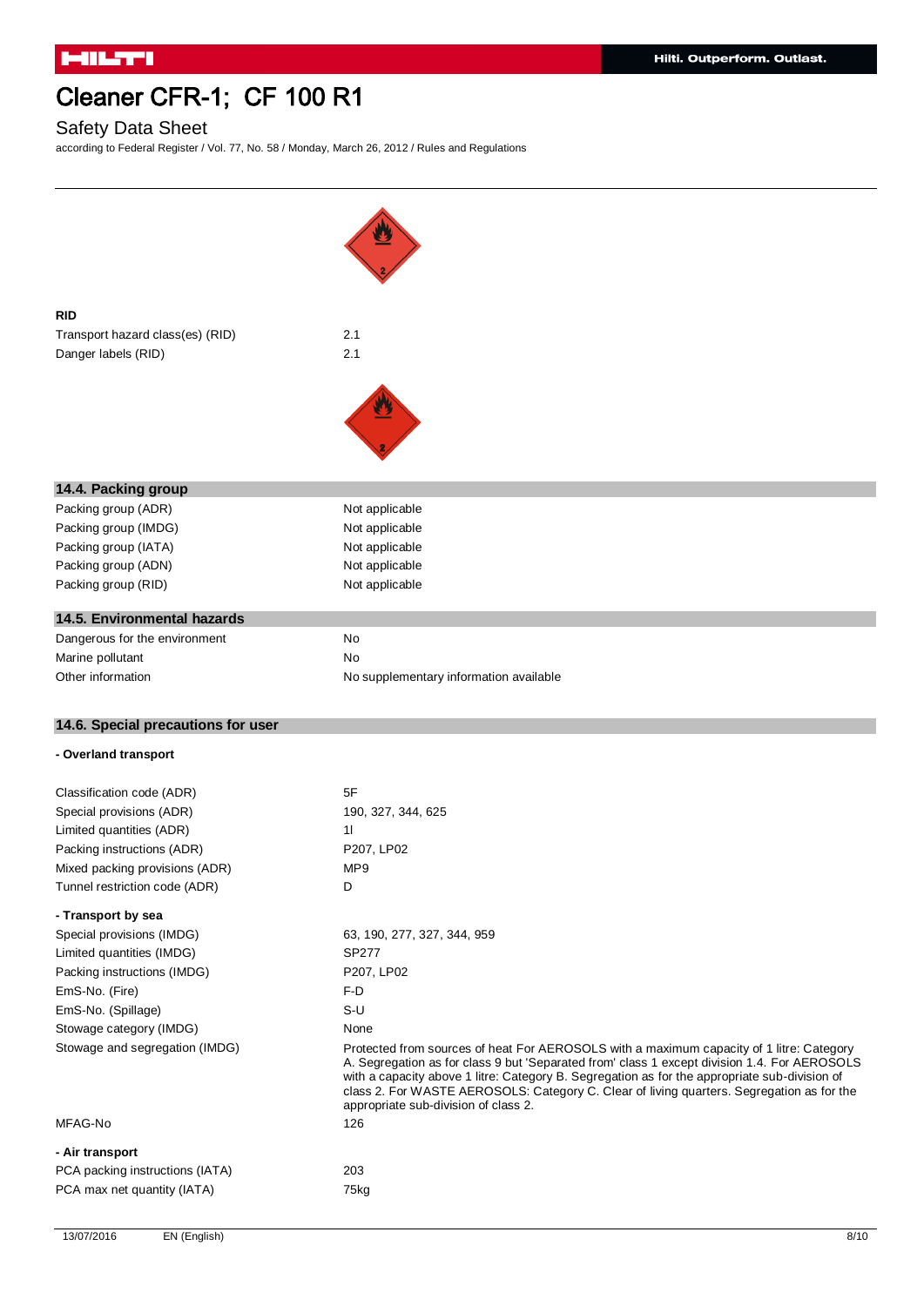## Safety Data Sheet

according to Federal Register / Vol. 77, No. 58 / Monday, March 26, 2012 / Rules and Regulations

| <b>RID</b><br>Transport hazard class(es) (RID)<br>Danger labels (RID) | 2.1<br>2.1                                                                                                                                                                                                                                                                                                                                                                                                                             |
|-----------------------------------------------------------------------|----------------------------------------------------------------------------------------------------------------------------------------------------------------------------------------------------------------------------------------------------------------------------------------------------------------------------------------------------------------------------------------------------------------------------------------|
|                                                                       |                                                                                                                                                                                                                                                                                                                                                                                                                                        |
| 14.4. Packing group                                                   |                                                                                                                                                                                                                                                                                                                                                                                                                                        |
| Packing group (ADR)                                                   | Not applicable                                                                                                                                                                                                                                                                                                                                                                                                                         |
| Packing group (IMDG)                                                  | Not applicable                                                                                                                                                                                                                                                                                                                                                                                                                         |
| Packing group (IATA)                                                  | Not applicable                                                                                                                                                                                                                                                                                                                                                                                                                         |
| Packing group (ADN)                                                   | Not applicable                                                                                                                                                                                                                                                                                                                                                                                                                         |
| Packing group (RID)                                                   | Not applicable                                                                                                                                                                                                                                                                                                                                                                                                                         |
|                                                                       |                                                                                                                                                                                                                                                                                                                                                                                                                                        |
| 14.5. Environmental hazards                                           |                                                                                                                                                                                                                                                                                                                                                                                                                                        |
| Dangerous for the environment                                         | No                                                                                                                                                                                                                                                                                                                                                                                                                                     |
| Marine pollutant                                                      | No                                                                                                                                                                                                                                                                                                                                                                                                                                     |
| Other information                                                     | No supplementary information available                                                                                                                                                                                                                                                                                                                                                                                                 |
|                                                                       |                                                                                                                                                                                                                                                                                                                                                                                                                                        |
|                                                                       |                                                                                                                                                                                                                                                                                                                                                                                                                                        |
| 14.6. Special precautions for user                                    |                                                                                                                                                                                                                                                                                                                                                                                                                                        |
| - Overland transport                                                  |                                                                                                                                                                                                                                                                                                                                                                                                                                        |
|                                                                       |                                                                                                                                                                                                                                                                                                                                                                                                                                        |
| Classification code (ADR)                                             | 5F                                                                                                                                                                                                                                                                                                                                                                                                                                     |
| Special provisions (ADR)                                              | 190, 327, 344, 625                                                                                                                                                                                                                                                                                                                                                                                                                     |
| Limited quantities (ADR)                                              | 11                                                                                                                                                                                                                                                                                                                                                                                                                                     |
| Packing instructions (ADR)                                            | P207, LP02                                                                                                                                                                                                                                                                                                                                                                                                                             |
| Mixed packing provisions (ADR)                                        | MP9                                                                                                                                                                                                                                                                                                                                                                                                                                    |
| Tunnel restriction code (ADR)                                         | D                                                                                                                                                                                                                                                                                                                                                                                                                                      |
| - Transport by sea                                                    |                                                                                                                                                                                                                                                                                                                                                                                                                                        |
| Special provisions (IMDG)                                             | 63, 190, 277, 327, 344, 959                                                                                                                                                                                                                                                                                                                                                                                                            |
| Limited quantities (IMDG)                                             | SP277                                                                                                                                                                                                                                                                                                                                                                                                                                  |
| Packing instructions (IMDG)                                           | P207, LP02                                                                                                                                                                                                                                                                                                                                                                                                                             |
| EmS-No. (Fire)                                                        | F-D                                                                                                                                                                                                                                                                                                                                                                                                                                    |
| EmS-No. (Spillage)                                                    | $S-U$                                                                                                                                                                                                                                                                                                                                                                                                                                  |
| Stowage category (IMDG)<br>Stowage and segregation (IMDG)             | None<br>Protected from sources of heat For AEROSOLS with a maximum capacity of 1 litre: Category<br>A. Segregation as for class 9 but 'Separated from' class 1 except division 1.4. For AEROSOLS<br>with a capacity above 1 litre: Category B. Segregation as for the appropriate sub-division of<br>class 2. For WASTE AEROSOLS: Category C. Clear of living quarters. Segregation as for the<br>appropriate sub-division of class 2. |
| MFAG-No                                                               | 126                                                                                                                                                                                                                                                                                                                                                                                                                                    |
|                                                                       |                                                                                                                                                                                                                                                                                                                                                                                                                                        |
| - Air transport                                                       |                                                                                                                                                                                                                                                                                                                                                                                                                                        |
| PCA packing instructions (IATA)<br>PCA max net quantity (IATA)        | 203<br>75kg                                                                                                                                                                                                                                                                                                                                                                                                                            |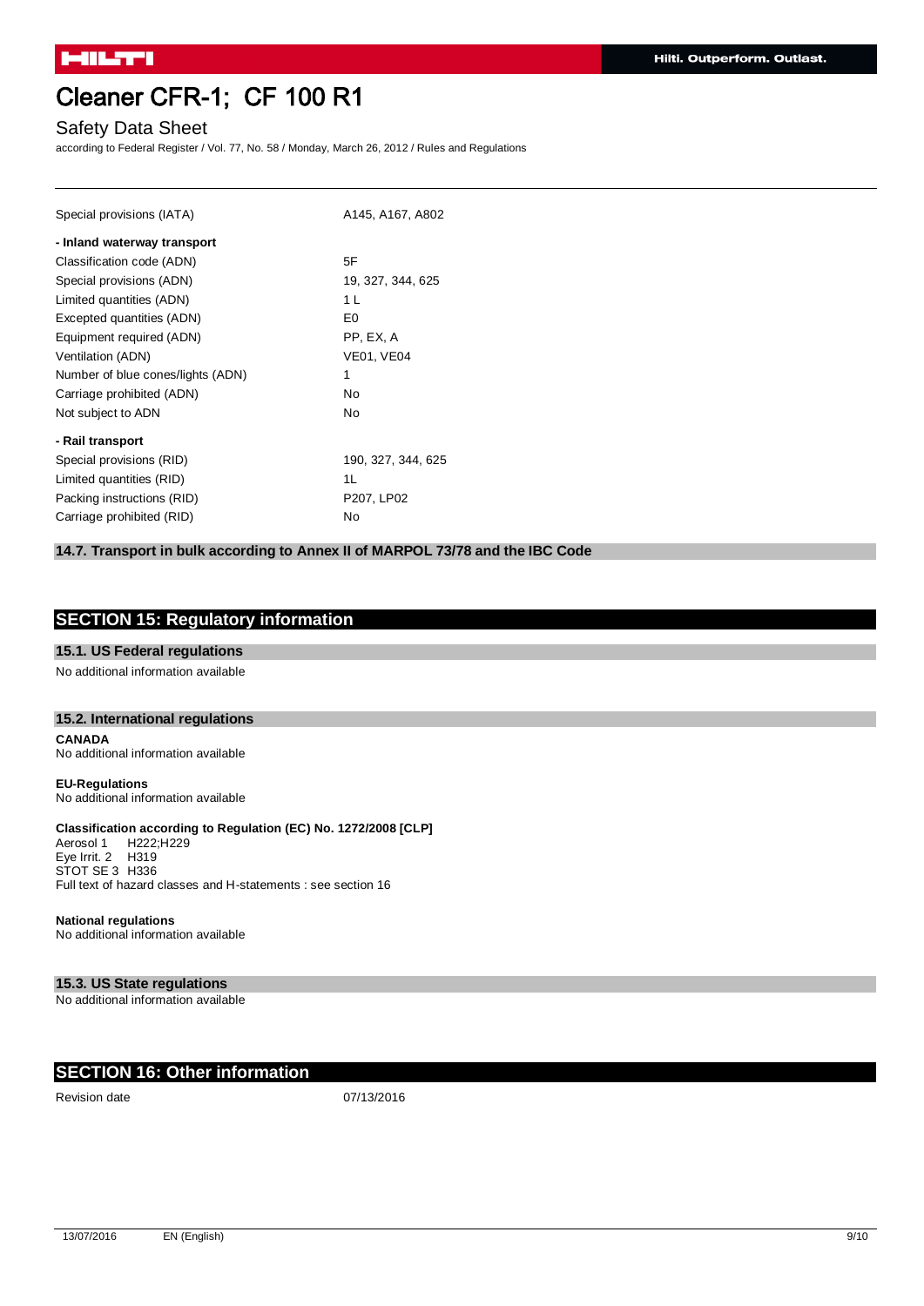## Safety Data Sheet

according to Federal Register / Vol. 77, No. 58 / Monday, March 26, 2012 / Rules and Regulations

| Special provisions (IATA)         | A145, A167, A802   |
|-----------------------------------|--------------------|
| - Inland waterway transport       |                    |
| Classification code (ADN)         | 5F                 |
| Special provisions (ADN)          | 19, 327, 344, 625  |
| Limited quantities (ADN)          | 1 L                |
| Excepted quantities (ADN)         | E <sub>0</sub>     |
| Equipment required (ADN)          | PP, EX, A          |
| Ventilation (ADN)                 | <b>VE01, VE04</b>  |
| Number of blue cones/lights (ADN) | 1                  |
| Carriage prohibited (ADN)         | N <sub>0</sub>     |
| Not subject to ADN                | No                 |
| - Rail transport                  |                    |
| Special provisions (RID)          | 190, 327, 344, 625 |
| Limited quantities (RID)          | 1L                 |
| Packing instructions (RID)        | P207, LP02         |
| Carriage prohibited (RID)         | No                 |

## **14.7. Transport in bulk according to Annex II of MARPOL 73/78 and the IBC Code**

## **SECTION 15: Regulatory information**

#### **15.1. US Federal regulations**

No additional information available

#### **15.2. International regulations**

**CANADA** No additional information available

**EU-Regulations** No additional information available

## **Classification according to Regulation (EC) No. 1272/2008 [CLP]**

Aerosol 1 H222;H229 Eye Irrit. 2 H319 STOT SE 3 H336 Full text of hazard classes and H-statements : see section 16

#### **National regulations**

No additional information available

#### **15.3. US State regulations**

No additional information available

## **SECTION 16: Other information**

Revision date 07/13/2016